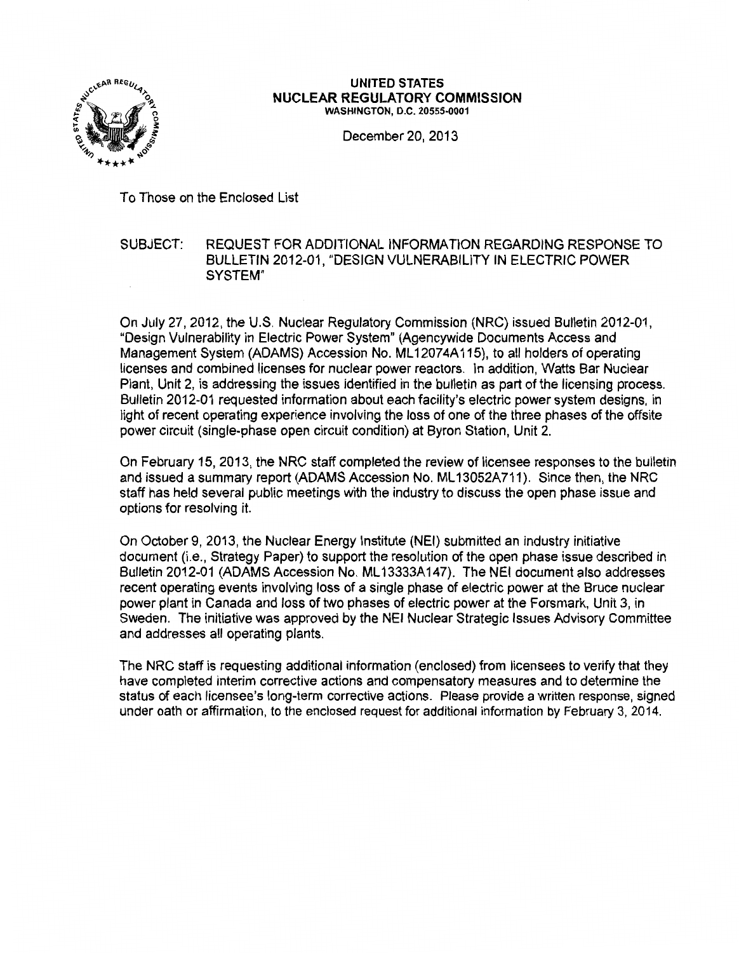

#### UNITED STATES NUCLEAR REGULATORY COMMISSION WASHINGTON, D.C. 20555-0001

December 20, 2013

To Those on the Enclosed List

## SUBJECT: REQUEST FOR ADDITIONAL INFORMATION REGARDING RESPONSE TO BULLETIN 2012-01, "DESIGN VULNERABILITY IN ELECTRIC POWER SYSTEM"

On July 27, 2012, the U.S. Nuclear Regulatory Commission (NRC) issued Bulletin 2012-01, "Design Vulnerability in Electric Power System" (Agencywide Documents Access and Management System (ADAMS) Accession No. ML12074A115), to all holders of operating licenses and combined licenses for nuclear power reactors. In addition, Watts Bar Nuclear Plant, Unit 2, is addressing the issues identified in the bulletin as part of the licensing process. Bulletin 2012-01 requested information about each facility's electric power system designs, in light of recent operating experience involving the loss of one of the three phases of the offsite power circuit (single-phase open circuit condition) at Byron Station, Unit 2.

On February 15, 2013, the NRC staff completed the review of licensee responses to the bulletin and issued a summary report (ADAMS Accession No. ML 13052A711). Since then, the NRC staff has held several public meetings with the industry to discuss the open phase issue and options for resolving it.

On October 9, 2013, the Nuclear Energy Institute (NEI} submitted an industry initiative document (i.e., Strategy Paper) to support the resolution of the open phase issue described in Bulletin 2012-01 (ADAMS Accession No. ML 13333A147). The NEt document also addresses recent operating events involving loss of a single phase of electric power at the Bruce nuclear power plant in Canada and loss of two phases of electric power at the Forsmark, Unit 3, in Sweden. The initiative was approved by the NEI Nuclear Strategic Issues Advisory Committee and addresses all operating plants.

The NRC staff is requesting additional information (enclosed) from licensees to verify that they have completed interim corrective actions and compensatory measures and to determine the status of each licensee's long-term corrective actions. Please provide a written response, signed under oath or affirmation, to the enclosed request for additional information by February 3, 2014.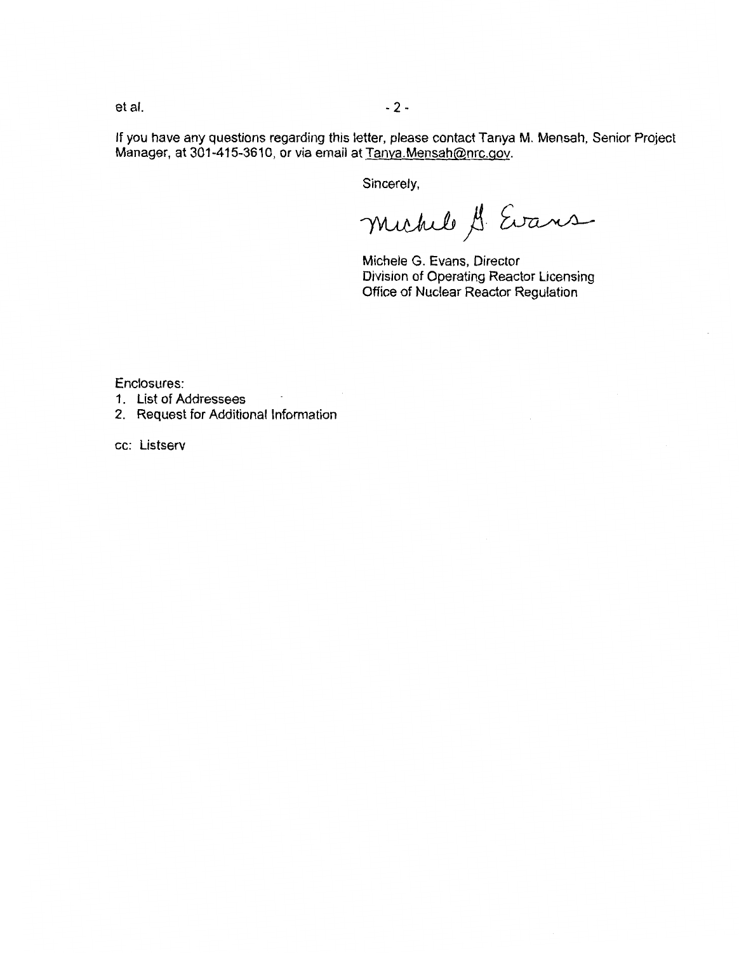et al. - 2 -

If you have any questions regarding this letter, please contact Tanya M. Mensah, Senior Project Manager, at 301-415-3610, or via email at Tanya.Mensah@nrc.gov.

Sincerely,

michel A Evans

Michele G. Evans, Director Division of Operating Reactor Licensing Office of Nuclear Reactor Regulation

Enclosures:

- 1. List of Addressees
- 2. Request for Additional Information

cc: Listserv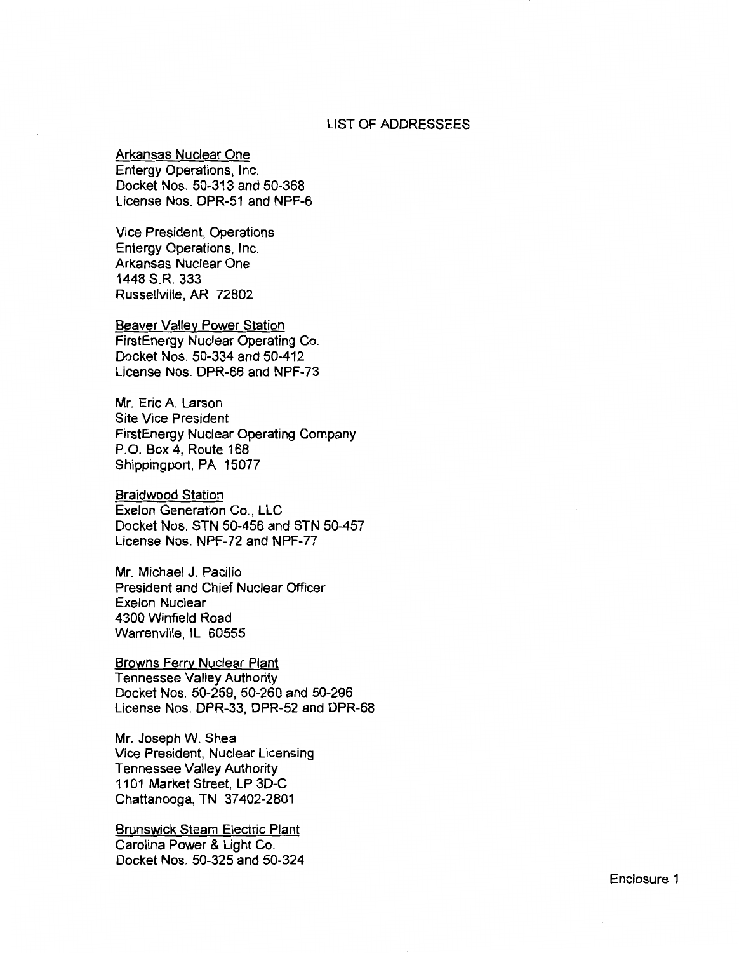### LIST OF ADDRESSEES

Arkansas Nuclear One

Entergy Operations, Inc. Docket Nos. 50-313 and 50-368 License Nos. DPR-51 and NPF-6

Vice President, Operations Entergy Operations, Inc. Arkansas Nuclear One 1448 S.R. 333 Russellville, AR 72802

Beaver Valley Power Station FirstEnergy Nuclear Operating Co. Docket Nos. 50-334 and 50-412 License Nos. DPR-66 and NPF-73

Mr. Eric A. Larson Site Vice President FirstEnergy Nuclear Operating Company P.O. Box 4, Route 168 Shippingport, PA 15077

Braidwood Station Exelon Generation Co., LLC Docket Nos. STN 50-456 and STN 50-457 License Nos. NPF-72 and NPF-77

Mr. Michael J. Pacilio President and Chief Nuclear Officer Exelon Nuclear 4300 Winfield Road Warrenville, IL 60555

Browns Ferry Nuclear Plant Tennessee Valley Authority Docket Nos. 50-259, 50-260 and 50-296 License Nos. DPR-33, DPR-52 and DPR-68

Mr. Joseph W. Shea Vice President, Nuclear Licensing Tennessee Valley Authority 1101 Market Street, LP 3D-C Chattanooga, TN 37402-2801

Brunswick Steam Electric Plant Carolina Power & Light Co. Docket Nos. 50-325 and 50-324

Enclosure 1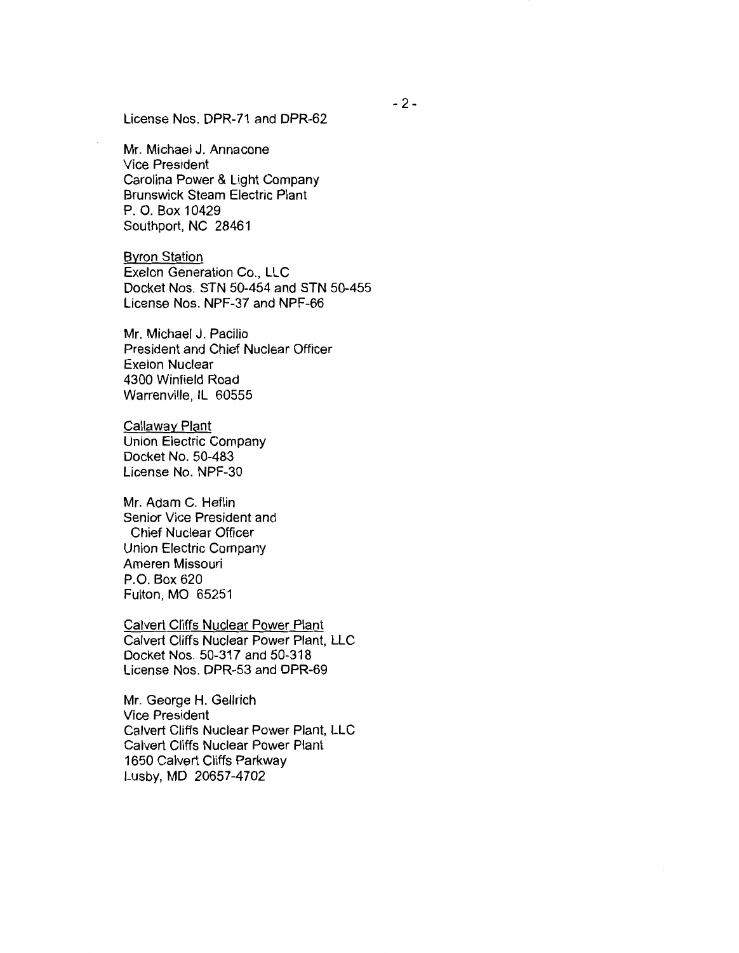License Nos. DPR-71 and DPR-62

Mr. Michael J. Annacone Vice President Carolina Power & Light Company Brunswick Steam Electric Plant P. 0. Box 10429 Southport, NC 28461

Byron Station Exelon Generation Co., LLC Docket Nos. STN 50-454 and STN 50-455 License Nos. NPF-37 and NPF-66

Mr. Michael J. Pacilio President and Chief Nuclear Officer Exelon Nuclear 4300 Winfield Road Warrenville, IL 60555

Callaway Plant Union Electric Company Docket No. 50-483 License No. NPF-30

Mr. Adam C. Heflin Senior Vice President and Chief Nuclear Officer Union Electric Company Ameren Missouri P.O. Box 620 Fulton, MO 65251

Calvert Cliffs Nuclear Power Plant Calvert Cliffs Nuclear Power Plant, LLC Docket Nos. 50-317 and 50-318 License Nos. DPR-53 and DPR-69

Mr. George H. Gellrich Vice President Calvert Cliffs Nuclear Power Plant, LLC Calvert Cliffs Nuclear Power Plant 1650 Calvert Cliffs Parkway Lusby, MD 20657-4702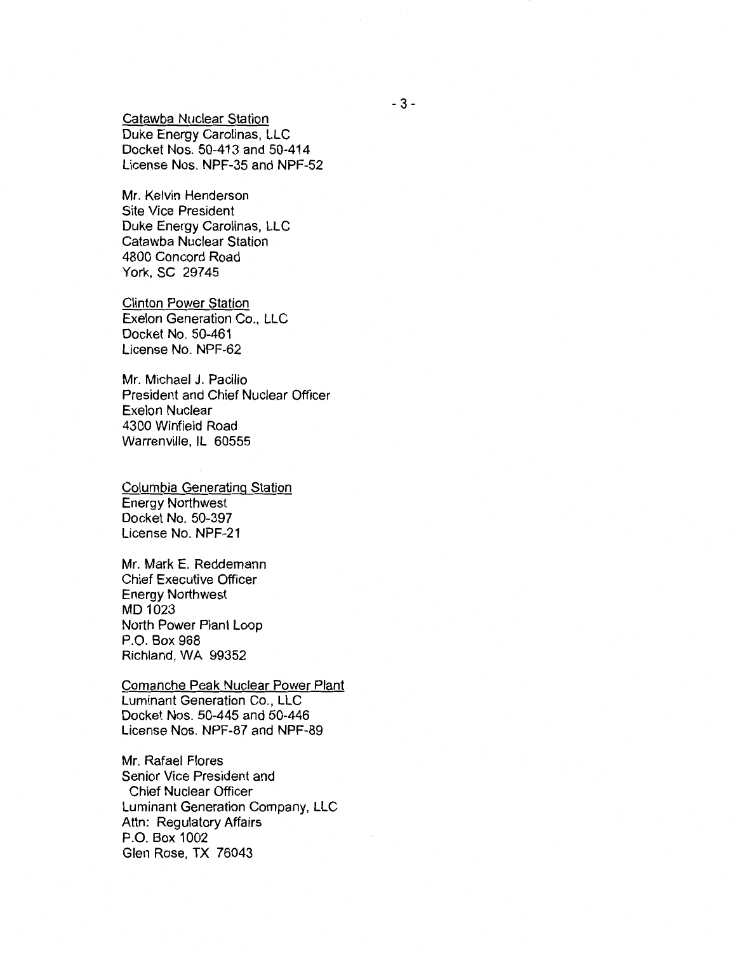Catawba Nuclear Station Duke Energy Carolinas, LLC Docket Nos. 50-413 and 50-414 License Nos. NPF-35 and NPF-52

Mr. Kelvin Henderson Site Vice President Duke Energy Carolinas, LLC Catawba Nuclear Station 4800 Concord Road York, SC 29745

Clinton Power Station Exelon Generation Co., LLC Docket No. 50-461 License No. NPF-62

Mr. Michael J. Pacilio President and Chief Nuclear Officer Exelon Nuclear 4300 Winfield Road Warrenville, IL 60555

Columbia Generating Station Energy Northwest Docket No. 50-397 License No. NPF-21

Mr. Mark E. Reddemann Chief Executive Officer Energy Northwest MD 1023 North Power Plant Loop P.O. Box 968 Richland, WA 99352

Comanche Peak Nuclear Power Plant Luminant Generation Co., LLC Docket Nos. 50-445 and 50-446 License Nos. NPF-87 and NPF-89

Mr. Rafael Flores Senior Vice President and Chief Nuclear Officer Luminant Generation Company, LLC Attn: Regulatory Affairs P.O. Box 1002 Glen Rose, TX 76043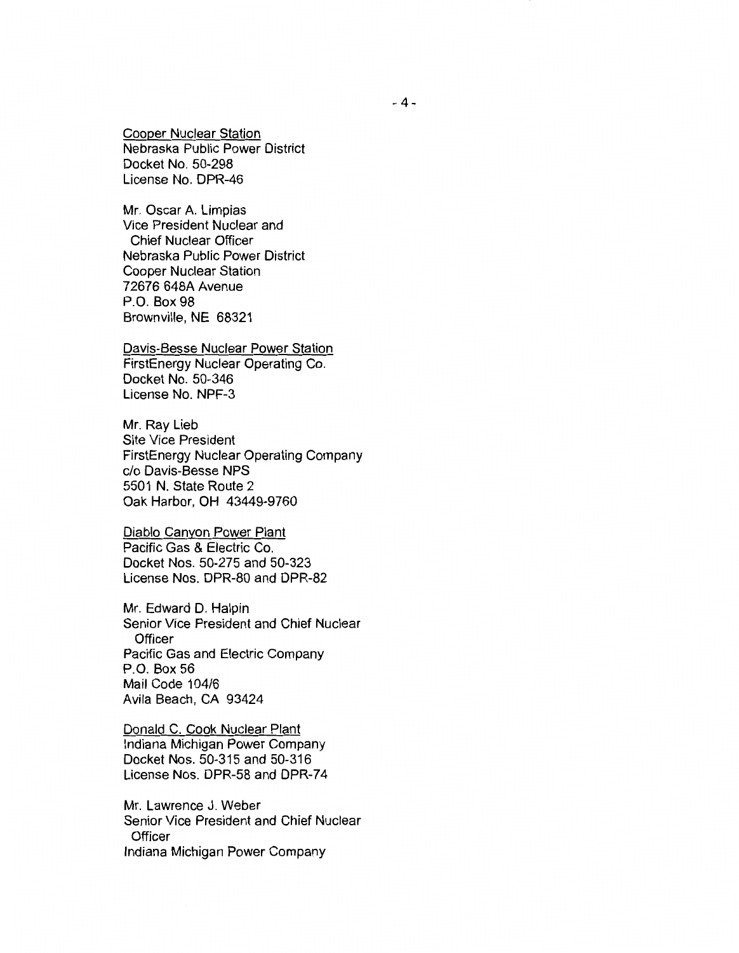Cooper Nuclear Station Nebraska Public Power District Docket No. 50-298 License No. DPR-46

Mr. Oscar A. Limpias Vice President Nuclear and Chief Nuclear Officer Nebraska Public Power District Cooper Nuclear Station 72676 648A Avenue P.O. Box 98 Brownville, NE 68321

Davis-Besse Nuclear Power Station FirstEnergy Nuclear Operating Co. Docket No. 50-346 License No. NPF-3

Mr. Ray Lieb Site Vice President FirstEnergy Nuclear Operating Company c/o Davis-Besse NPS 5501 N. State Route 2 Oak Harbor, OH 43449-9760

Diablo Canyon Power Plant Pacific Gas & Electric Co. Docket Nos. 50-275 and 50-323 License Nos. DPR-80 and DPR-82

Mr. Edward D. Halpin Senior Vice President and Chief Nuclear **Officer** Pacific Gas and Electric Company P.O. Box 56 Mail Code 104/6 Avila Beach, CA 93424

Donald C. Cook Nuclear Plant Indiana Michigan Power Company Docket Nos. 50-315 and 50-316 License Nos. DPR-58 and DPR-74

Mr. Lawrence J. Weber Senior Vice President and Chief Nuclear **Officer** Indiana Michigan Power Company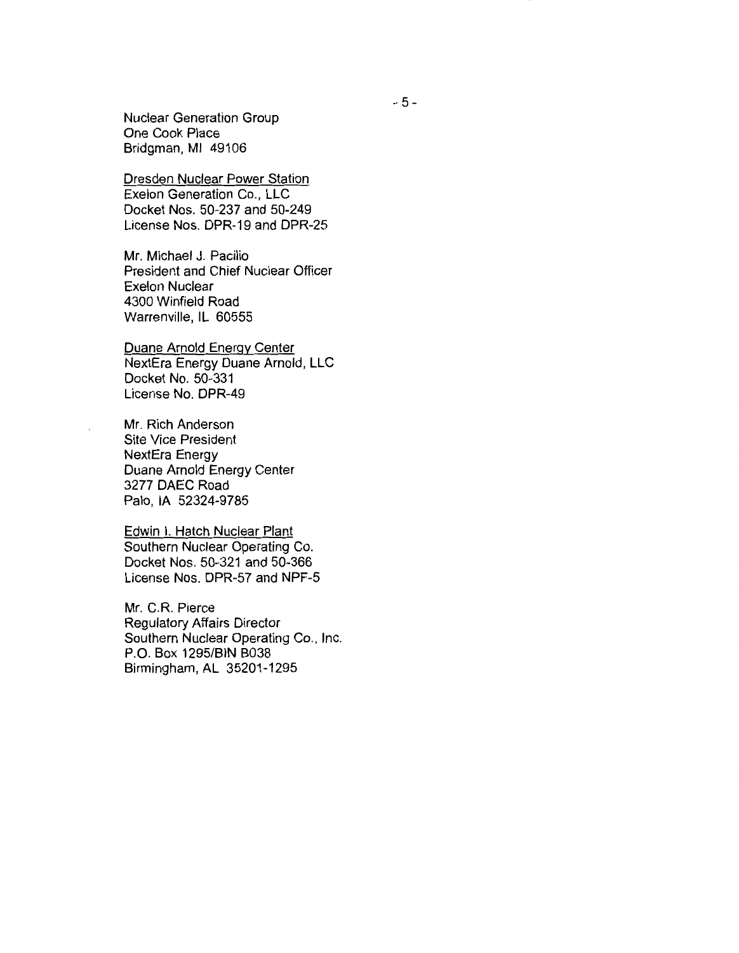Nuclear Generation Group One Cook Place Bridgman, Ml 49106

Dresden Nuclear Power Station Exelon Generation Co., LLC Docket Nos. 50-237 and 50-249 License Nos. DPR-19 and DPR-25

Mr. Michael J. Pacilio President and Chief Nuclear Officer Exelon Nuclear 4300 Winfield Road Warrenville, IL 60555

Duane Arnold Energy Center NextEra Energy Duane Arnold, LLC Docket No. 50-331 License No. DPR-49

Mr. Rich Anderson Site Vice President NextEra Energy Duane Arnold Energy Center 3277 DAEC Road Palo, lA 52324-9785

Edwin I. Hatch Nuclear Plant Southern Nuclear Operating Co. Docket Nos. 50-321 and 50-366 License Nos. DPR-57 and NPF-5

Mr. C.R. Pierce Regulatory Affairs Director Southern Nuclear Operating Co., Inc. P.O. Box 1295/BIN B038 Birmingham, AL 35201-1295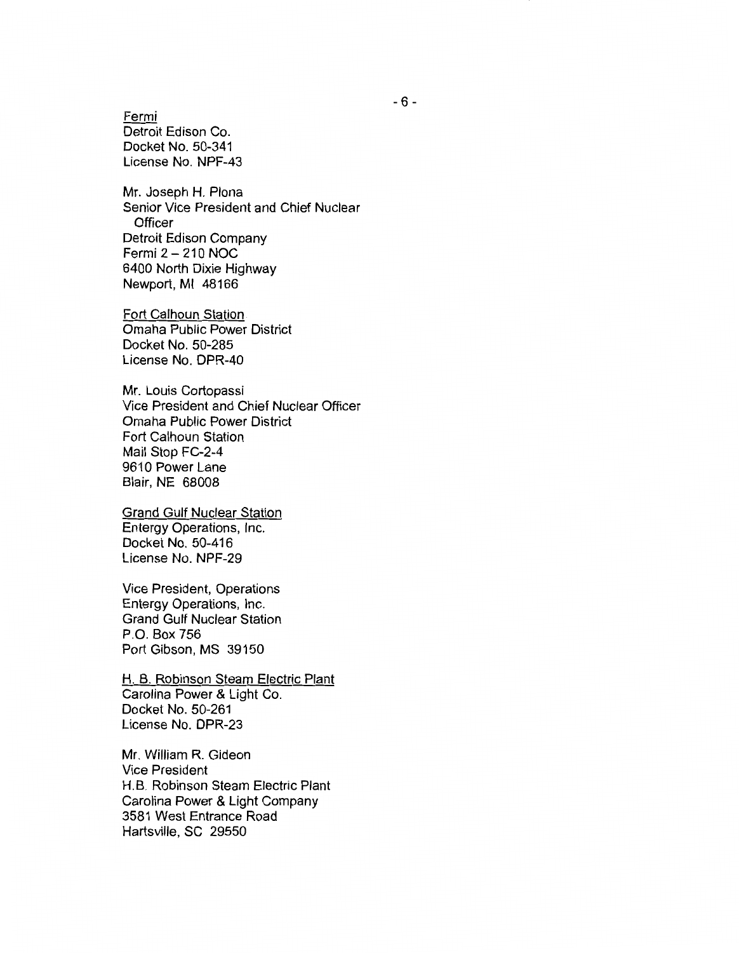Fermi Detroit Edison Co. Docket No. 50-341 License No. NPF-43

Mr. Joseph H. Plona Senior Vice President and Chief Nuclear **Officer** Detroit Edison Company Fermi 2-210 NOC 6400 North Dixie Highway Newport, Ml 48166

Fort Calhoun Station Omaha Public Power District Docket No. 50-285 License No. DPR-40

Mr. Louis Cortopassi Vice President and Chief Nuclear Officer Omaha Public Power District Fort Calhoun Station Mail Stop FC-2-4 9610 Power Lane Blair, NE 68008

Grand Gulf Nuclear Station Entergy Operations, Inc. Docket No. 50-416 License No. NPF-29

Vice President, Operations Entergy Operations, Inc. Grand Gulf Nuclear Station P.O. Box 756 Port Gibson, MS 39150

H. B. Robinson Steam Electric Plant Carolina Power & Light Co. Docket No. 50-261 License No. DPR-23

Mr. William R. Gideon Vice President H.B. Robinson Steam Electric Plant Carolina Power & Light Company 3581 West Entrance Road Hartsville, SC 29550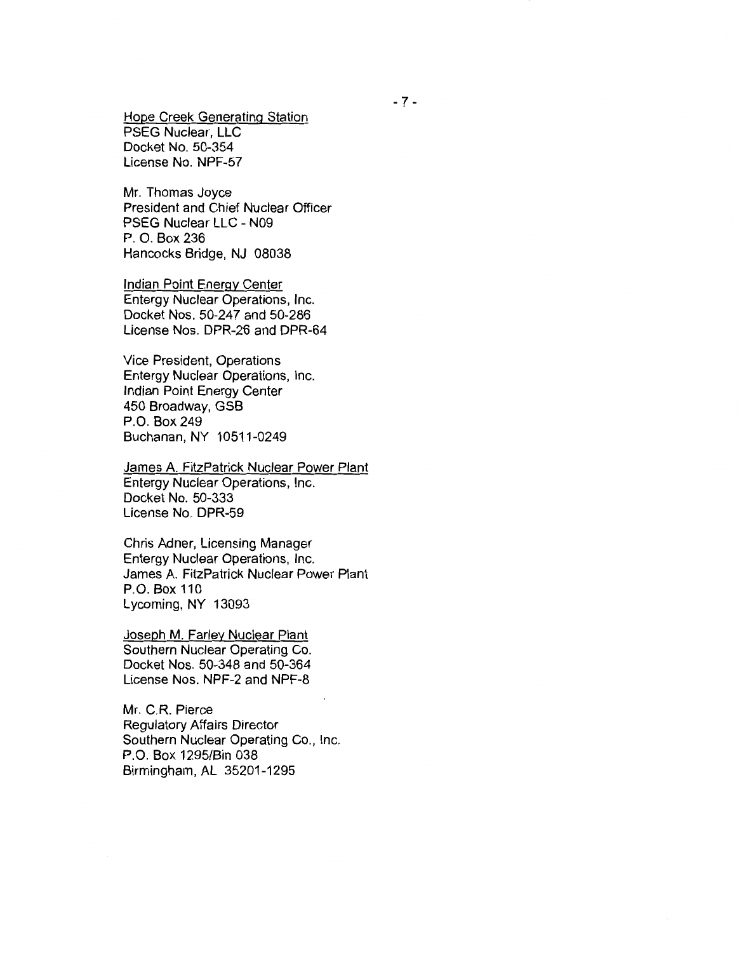Hope Creek Generating Station PSEG Nuclear, LLC Docket No. 50-354 License No. NPF-57

Mr. Thomas Joyce President and Chief Nuclear Officer PSEG Nuclear LLC - N09 P. 0. Box 236 Hancocks Bridge, NJ 08038

Indian Point Energy Center Entergy Nuclear Operations, Inc. Docket Nos. 50-247 and 50-286 License Nos. DPR-26 and DPR-64

Vice President, Operations Entergy Nuclear Operations, Inc. Indian Point Energy Center 450 Broadway, GSB P.O. Box 249 Buchanan, NY 10511-0249

James A. FitzPatrick Nuclear Power Plant Entergy Nuclear Operations, Inc. Docket No. 50-333 License No. DPR-59

Chris Adner, Licensing Manager Entergy Nuclear Operations, Inc. James A. FitzPatrick Nuclear Power Plant P.O. Box 110 Lycoming, NY 13093

Joseph M. Farley Nuclear Plant Southern Nuclear Operating Co. Docket Nos. 50-348 and 50-364 License Nos. NPF-2 and NPF-8

Mr. C.R. Pierce Regulatory Affairs Director Southern Nuclear Operating Co., Inc. P.O. Box 1295/Bin 038 Birmingham, AL 35201-1295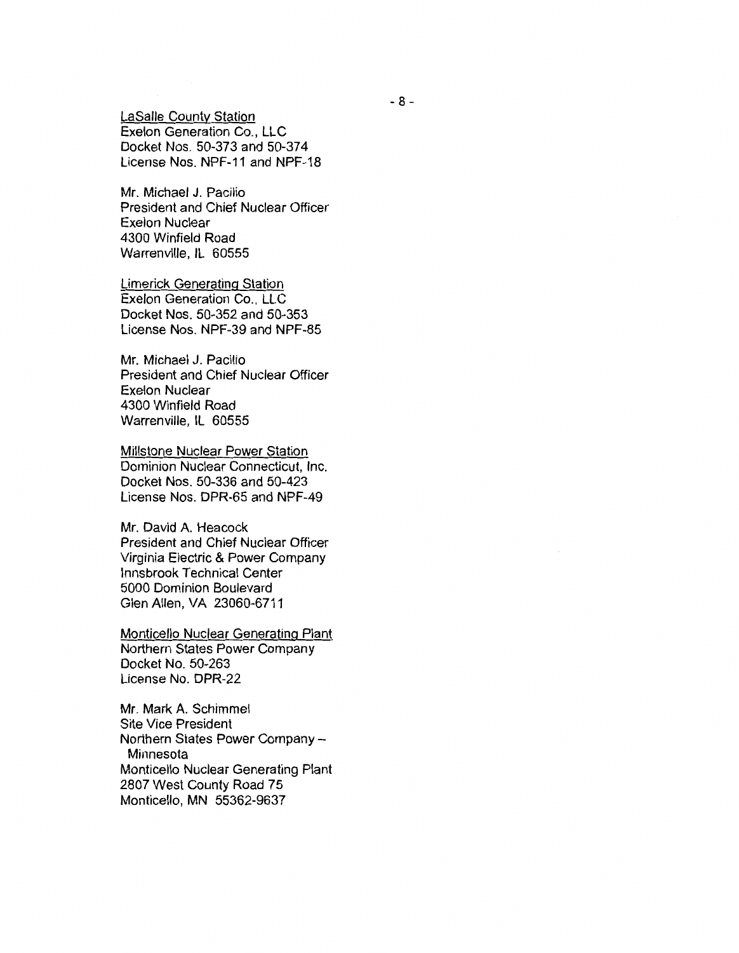LaSalle County Station Exelon Generation Co., LLC Docket Nos. 50-373 and 50-37 4 License Nos. NPF-11 and NPF-18

Mr. Michael J. Pacilio President and Chief Nuclear Officer Exelon Nuclear 4300 Winfield Road Warrenville, IL 60555

Limerick Generating Station Exelon Generation Co., LLC Docket Nos. 50-352 and 50-353 License Nos. NPF-39 and NPF-85

Mr. Michael J. Pacilio President and Chief Nuclear Officer Exelon Nuclear 4300 Winfield Road Warrenville, IL 60555

Millstone Nuclear Power Station Dominion Nuclear Connecticut, Inc. Docket Nos. 50-336 and 50-423 License Nos. DPR-65 and NPF-49

Mr. David A. Heacock President and Chief Nuclear Officer Virginia Electric & Power Company lnnsbrook Technical Center 5000 Dominion Boulevard Glen Allen, VA 23060-6711

Monticello Nuclear Generating Plant Northern States Power Company Docket No. 50-263 License No. DPR-22

Mr. Mark A. Schimmel Site Vice President Northern States Power Company - Minnesota Monticello Nuclear Generating Plant 2807 West County Road 75 Monticello, MN 55362-9637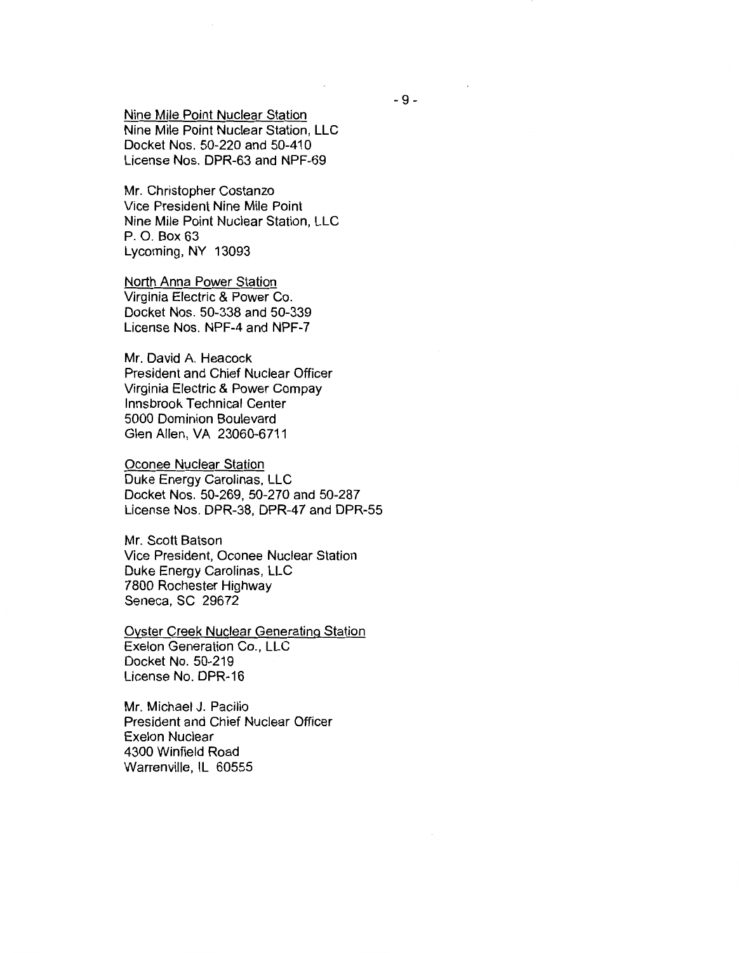Nine Mile Point Nuclear Station Nine Mile Point Nuclear Station, LLC Docket Nos. 50-220 and 50-410 License Nos. DPR-63 and NPF-69

Mr. Christopher Costanzo Vice President Nine Mile Point Nine Mile Point Nuclear Station, LLC P. 0. Box 63 Lycoming, NY 13093

North Anna Power Station Virginia Electric & Power Co. Docket Nos. 50-338 and 50-339 License Nos. NPF-4 and NPF-7

Mr. David A. Heacock President and Chief Nuclear Officer Virginia Electric & Power Compay lnnsbrook Technical Center 5000 Dominion Boulevard Glen Allen, VA 23060-6711

Oconee Nuclear Station Duke Energy Carolinas, LLC Docket Nos. 50-269, 50-270 and 50-287 License Nos. DPR-38, DPR-47 and DPR-55

Mr. Scott Batson Vice President, Oconee Nuclear Station Duke Energy Carolinas, LLC 7800 Rochester Highway Seneca, SC 29672

Oyster Creek Nuclear Generating Station Exelon Generation Co., LLC Docket No. 50-219 License No. DPR-16

Mr. Michael J. Pacilio President and Chief Nuclear Officer Exelon Nuclear 4300 Winfield Road Warrenville, IL 60555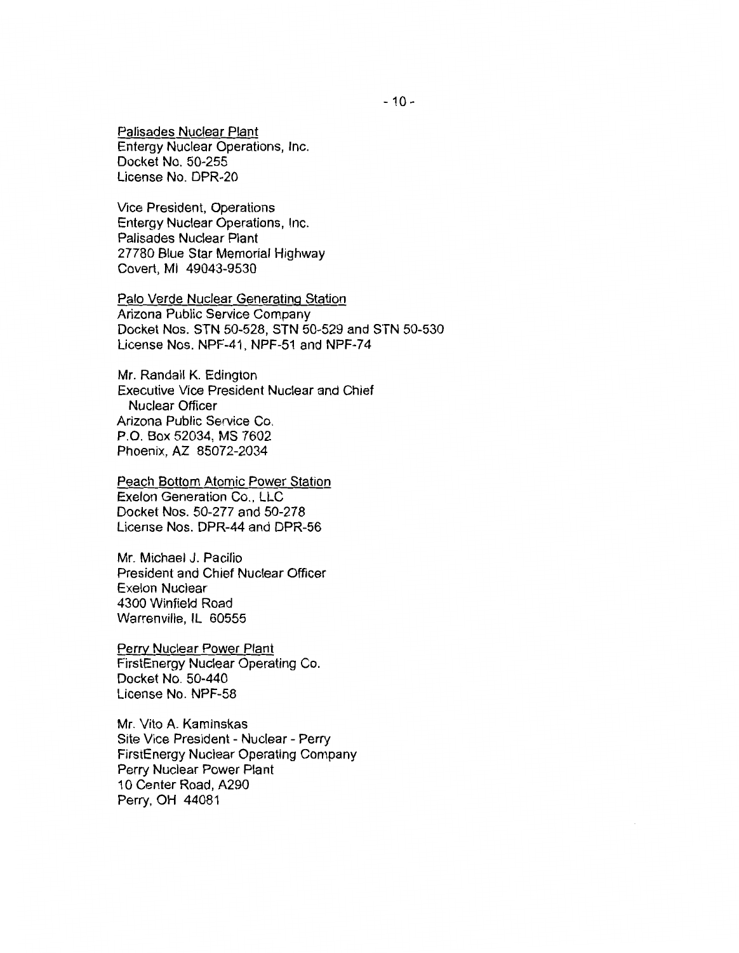Palisades Nuclear Plant Entergy Nuclear Operations, Inc. Docket No. 50-255 License No. DPR-20

Vice President, Operations Entergy Nuclear Operations, Inc. Palisades Nuclear Plant 27780 Blue Star Memorial Highway Covert, Ml 49043-9530

Palo Verde Nuclear Generating Station Arizona Public Service Company Docket Nos. STN 50-528, STN 50-529 and STN 50-530 License Nos. NPF-41, NPF-51 and NPF-7 4

Mr. Randall K. Edington Executive Vice President Nuclear and Chief Nuclear Officer Arizona Public Service Co. P.O. Box 52034, MS 7602 Phoenix, AZ 85072-2034

Peach Bottom Atomic Power Station Exelon Generation Co., LLC Docket Nos. 50-277 and 50-278 License Nos. DPR-44 and DPR-56

Mr. Michael J. Pacilio President and Chief Nuclear Officer Exelon Nuclear 4300 Winfield Road Warrenville, IL 60555

Perry Nuclear Power Plant FirstEnergy Nuclear Operating Co. Docket No. 50-440 License No. NPF-58

Mr. Vito A. Kaminskas Site Vice President - Nuclear - Perry FirstEnergy Nuclear Operating Company Perry Nuclear Power Plant 10 Center Road, A290 Perry, OH 44081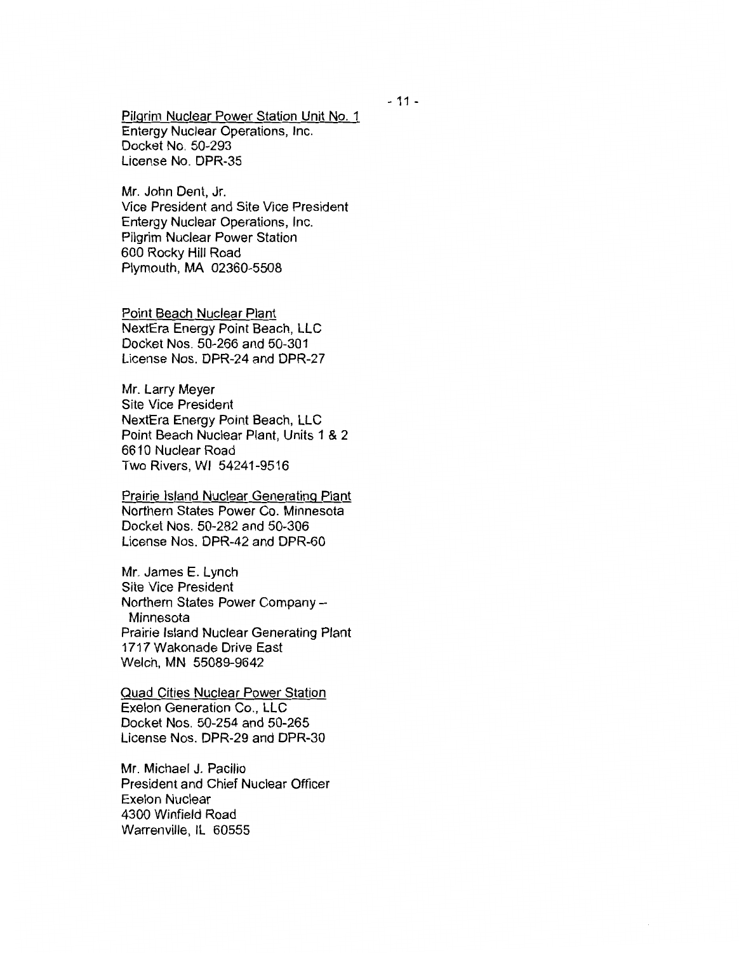Pilgrim Nuclear Power Station Unit No. 1 Entergy Nuclear Operations, Inc. Docket No. 50-293 License No. DPR-35

Mr. John Dent, Jr. Vice President and Site Vice President Entergy Nuclear Operations, Inc. Pilgrim Nuclear Power Station 600 Rocky Hill Road Plymouth, MA 02360-5508

Point Beach Nuclear Plant NextEra Energy Point Beach, LLC Docket Nos. 50-266 and 50-301 License Nos. DPR-24 and DPR-27

Mr. Larry Meyer Site Vice President NextEra Energy Point Beach, LLC Point Beach Nuclear Plant, Units 1 & 2 6610 Nuclear Road Two Rivers, WI 54241-9516

Prairie Island Nuclear Generating Plant Northern States Power Co. Minnesota Docket Nos. 50-282 and 50-306 License Nos. DPR-42 and DPR-60

Mr. James E. Lynch Site Vice President Northern States Power Company - Minnesota Prairie Island Nuclear Generating Plant 1717 Wakonade Drive East Welch, MN 55089-9642

Quad Cities Nuclear Power Station Exelon Generation Co., LLC Docket Nos. 50-254 and 50-265 License Nos. DPR-29 and DPR-30

Mr. Michael J. Pacilio President and Chief Nuclear Officer Exelon Nuclear 4300 Winfield Road Warrenville, IL 60555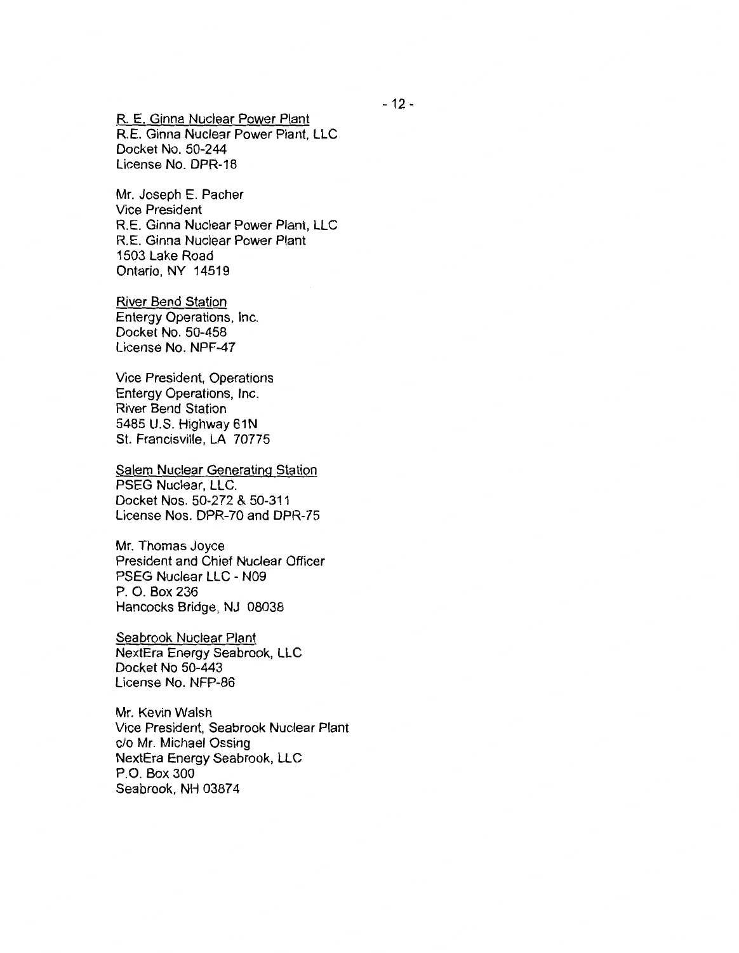R. E. Ginna Nuclear Power Plant R.E. Ginna Nuclear Power Plant, LLC Docket No. 50-244 License No. DPR-18

Mr. Joseph E. Pacher Vice President R.E. Ginna Nuclear Power Plant, LLC R. E. Ginna Nuclear Power Plant 1503 Lake Road Ontario, NY 14519

River Bend Station Entergy Operations, Inc. Docket No. 50-458 License No. NPF-47

Vice President, Operations Entergy Operations, Inc. River Bend Station 5485 U.S. Highway 61N St. Francisville, LA 70775

Salem Nuclear Generating Station PSEG Nuclear, LLC. Docket Nos. 50-272 & 50-311 License Nos. DPR-70 and DPR-75

Mr. Thomas Joyce President and Chief Nuclear Officer PSEG Nuclear LLC - N09 P. 0. Box 236 Hancocks Bridge, NJ 08038

Seabrook Nuclear Plant NextEra Energy Seabrook, LLC Docket No 50-443 License No. NFP-86

Mr. Kevin Walsh Vice President, Seabrook Nuclear Plant c/o Mr. Michael Ossing NextEra Energy Seabrook, LLC P.O. Box 300 Seabrook, NH 03874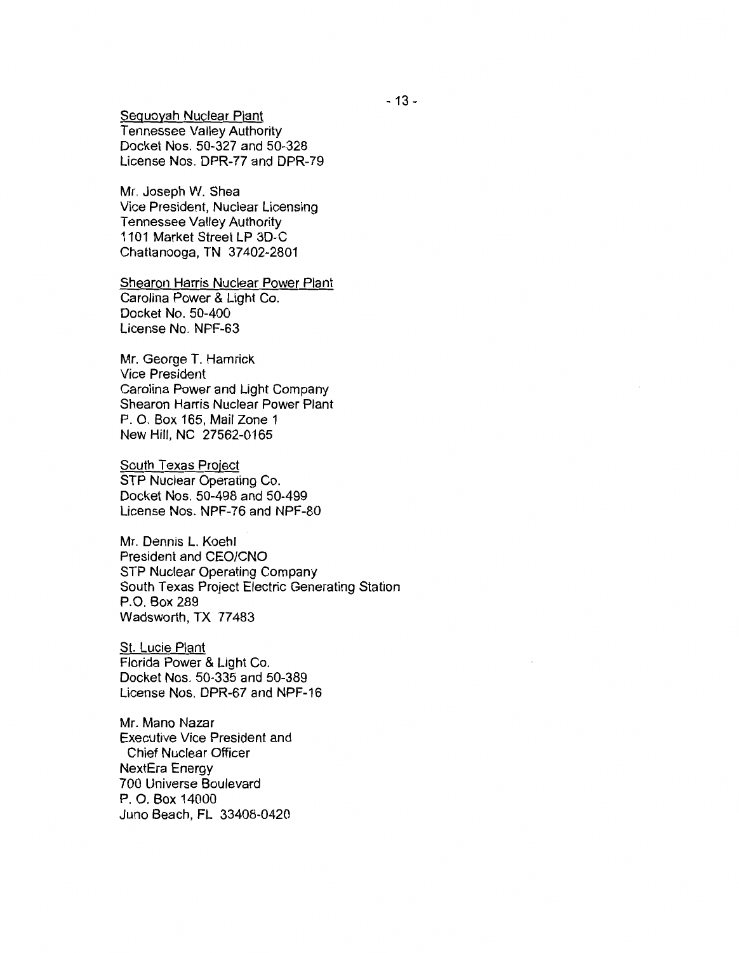Sequoyah Nuclear Plant Tennessee Valley Authority Docket Nos. 50-327 and 50-328 License Nos. DPR-77 and DPR-79

Mr. Joseph W. Shea Vice President, Nuclear Licensing Tennessee Valley Authority 1101 Market Street LP 3D-C Chattanooga, TN 37 402-2801

Shearon Harris Nuclear Power Plant Carolina Power & Light Co. Docket No. 50-400 License No. NPF-63

Mr. George T. Hamrick Vice President Carolina Power and Light Company Shearon Harris Nuclear Power Plant P. 0. Box 165, Mail Zone 1 New Hill, NC 27562-0165

South Texas Project STP Nuclear Operating Co. Docket Nos. 50-498 and 50-499 License Nos. NPF-76 and NPF-80

Mr. Dennis L. Koehl President and CEO/CNO STP Nuclear Operating Company South Texas Project Electric Generating Station P.O. Box 289 Wadsworth, TX 77483

St. Lucie Plant Florida Power & Light Co. Docket Nos. 50-335 and 50-389 License Nos. DPR-67 and NPF-16

Mr. Mano Nazar Executive Vice President and Chief Nuclear Officer NextEra Energy 700 Universe Boulevard P. 0. Box 14000 Juno Beach, FL 33408-0420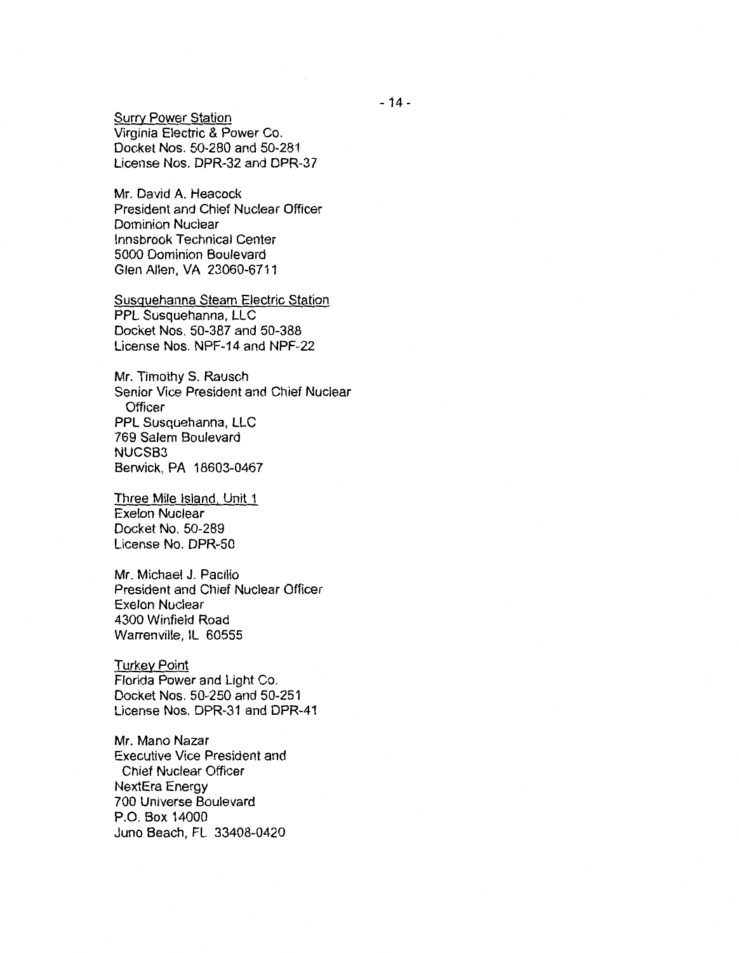Surry Power Station Virginia Electric & Power Co. Docket Nos. 50-280 and 50-281 License Nos. DPR-32 and DPR-37

Mr. David A. Heacock President and Chief Nuclear Officer Dominion Nuclear lnnsbrook Technical Center 5000 Dominion Boulevard Glen Allen, VA 23060-6711

Susquehanna Steam Electric Station PPL Susquehanna, LLC Docket Nos. 50-387 and 50-388 License Nos. NPF-14 and NPF-22

Mr. Timothy S. Rausch Senior Vice President and Chief Nuclear **Officer** PPL Susquehanna, LLC 769 Salem Boulevard NUCSB3 Berwick, PA 18603-0467

Three Mile Island, Unit 1 Exelon Nuclear Docket No. 50-289 License No. DPR-50

Mr. Michael J. Pacilio President and Chief Nuclear Officer Exelon Nuclear 4300 Winfield Road Warrenville, IL 60555

Turkey Point Florida Power and Light Co. Docket Nos. 50-250 and 50-251 License Nos. DPR-31 and DPR-41

Mr. Mano Nazar Executive Vice President and Chief Nuclear Officer NextEra Energy 700 Universe Boulevard P.O. Box 14000 Juno Beach, FL 33408-0420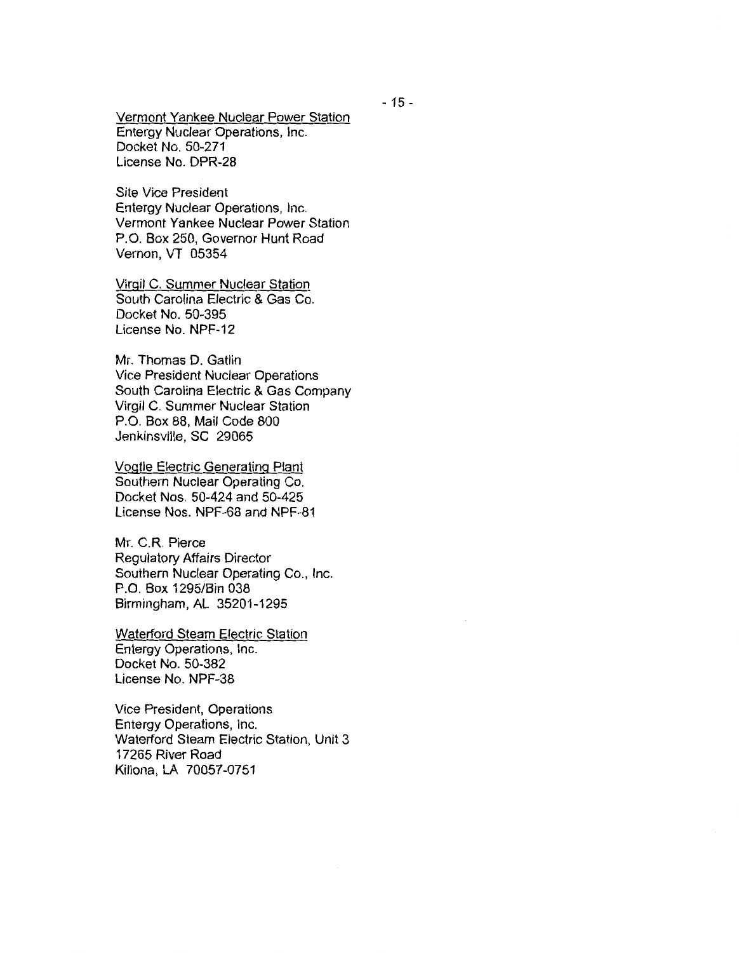Vermont Yankee Nuclear Power Station Entergy Nuclear Operations, Inc. Docket No. 50-271 License No. DPR-28

Site Vice President Entergy Nuclear Operations, Inc. Vermont Yankee Nuclear Power Station P.O. Box 250, Governor Hunt Road Vernon, VT 05354

Virgil C. Summer Nuclear Station South Carolina Electric & Gas Co. Docket No. 50-395 License No. NPF-12

Mr. Thomas D. Gatlin Vice President Nuclear Operations South Carolina Electric & Gas Company Virgil C. Summer Nuclear Station P.O. Box 88, Mail Code 800 Jenkinsville, SC 29065

Vogtle Electric Generating Plant Southern Nuclear Operating Co. Docket Nos. 50-424 and 50-425 License Nos. NPF-68 and NPF-81

Mr. C.R. Pierce Regulatory Affairs Director Southern Nuclear Operating Co., Inc. P.O. Box 1295/Bin 038 Birmingham, AL 35201-1295

Waterford Steam Electric Station Entergy Operations, Inc. Docket No. 50-382 License No. NPF-38

Vice President, Operations Entergy Operations, Inc. Waterford Steam Electric Station, Unit 3 17265 River Road Killona, LA 70057-0751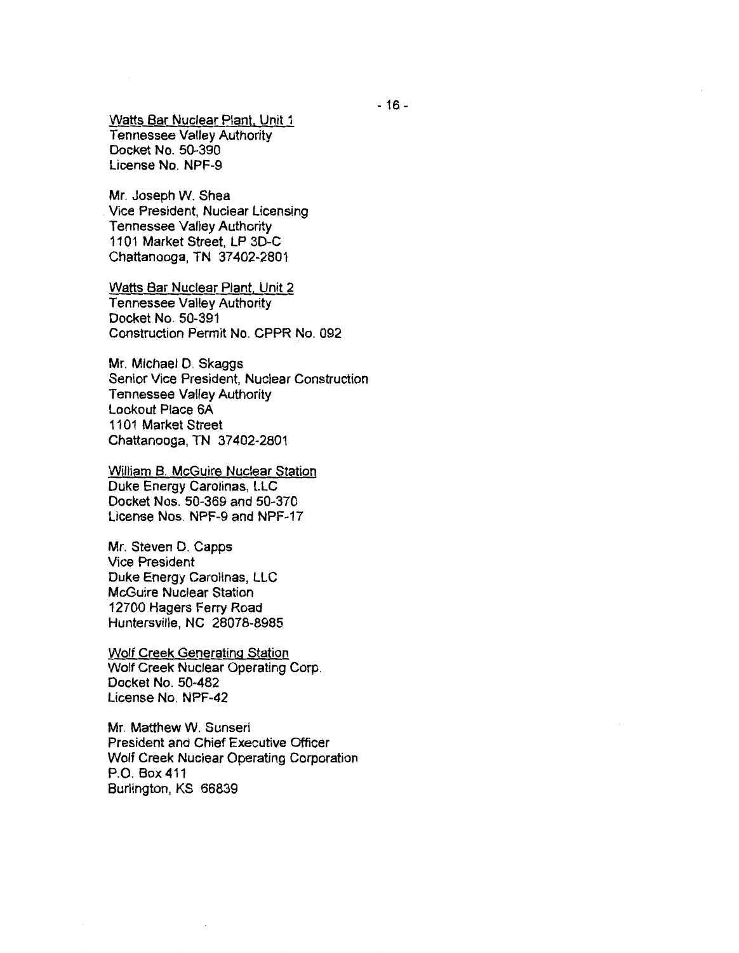Watts Bar Nuclear Plant. Unit 1 Tennessee Valley Authority Docket No. 50-390 License No. NPF-9

Mr. Joseph W. Shea Vice President, Nuclear Licensing Tennessee Valley Authority 1101 Market Street, LP 3D-C Chattanooga, TN 37402-2801

Watts Bar Nuclear Plant. Unit 2 Tennessee Valley Authority Docket No. 50-391 Construction Permit No. CPPR No. 092

Mr. Michael D. Skaggs Senior Vice President, Nuclear Construction Tennessee Valley Authority Lookout Place 6A 1101 Market Street Chattanooga, TN 37402-2801

William B. McGuire Nuclear Station Duke Energy Carolinas, LLC Docket Nos. 50-369 and 50-370 License Nos. NPF-9 and NPF-17

Mr. Steven D. Capps Vice President Duke Energy Carolinas, LLC McGuire Nuclear Station 12700 Hagers Ferry Road Huntersville, NC 28078-8985

Wolf Creek Generating Station Wolf Creek Nuclear Operating Corp. Docket No. 50-482 License No. NPF-42

Mr. Matthew W. Sunseri President and Chief Executive Officer Wolf Creek Nuclear Operating Corporation P.O. Box 411 Burlington, KS 66839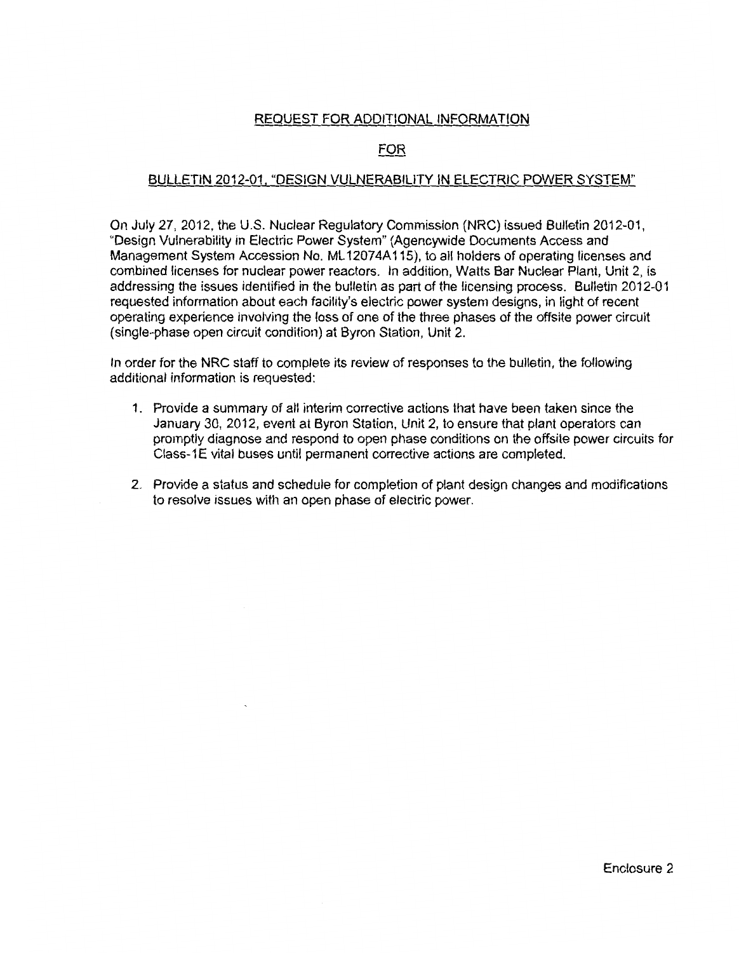## REQUEST FOR ADDITIONAL INFORMATION

## FOR

### BULLETIN 2012-01, "DESIGN VULNERABILITY IN ELECTRIC POWER SYSTEM"

On July 27, 2012, the U.S. Nuclear Regulatory Commission (NRC) issued Bulletin 2012-01, "Design Vulnerability in Electric Power System" (Agencywide Documents Access and Management System Accession No. ML 12074A115), to all holders of operating licenses and combined licenses for nuclear power reactors. In addition, Watts Bar Nuclear Plant, Unit 2, is addressing the issues identified in the bulletin as part of the licensing process. Bulletin 2012-01 requested information about each facility's electric power system designs, in light of recent operating experience involving the loss of one of the three phases of the offsite power circuit (single-phase open circuit condition) at Byron Station, Unit 2.

In order for the NRC staff to complete its review of responses to the bulletin, the following additional information is requested:

- 1. Provide a summary of all interim corrective actions that have been taken since the January 30, 2012, event at Byron Station, Unit 2, to ensure that plant operators can promptly diagnose and respond to open phase conditions on the offsite power circuits for Class-1E vital buses until permanent corrective actions are completed.
- 2. Provide a status and schedule for completion of plant design changes and modifications to resolve issues with an open phase of electric power.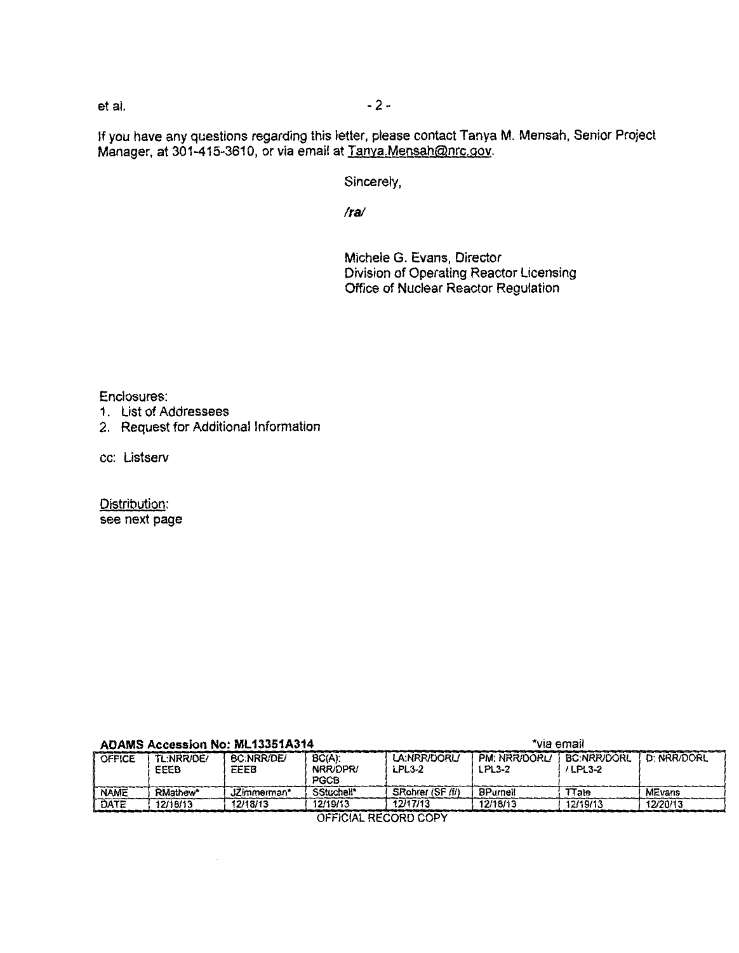et al. - 2-

If you have any questions regarding this letter, please contact Tanya M. Mensah, Senior Project Manager, at 301-415-3610, or via email at Tanya.Mensah@nrc.gov.

Sincerely,

*Ira/* 

Michele G. Evans, Director Division of Operating Reactor Licensing Office of Nuclear Reactor Regulation

Enclosures:

- 1. List of Addressees
- 2. Request for Additional Information

cc: Listserv

Distribution: see next page

| <b>ADAMS Accession No: ML13351A314</b> |                    |                           |                                      | *via email                    |                         |                                 |               |
|----------------------------------------|--------------------|---------------------------|--------------------------------------|-------------------------------|-------------------------|---------------------------------|---------------|
| <b>OFFICE</b>                          | TL:NRR/DE/<br>EEEB | <b>BC:NRR/DE/</b><br>EEEB | $BC(A)$ :<br>NRR/DPR/<br><b>PGCB</b> | LA:NRR/DORL/<br><b>LPL3-2</b> | PM: NRR/DORL/<br>LPL3-2 | <b>BC:NRR/DORL</b><br>$/LPL3-2$ | D: NRR/DORL   |
| <b>NAME</b>                            | RMathew*           | JZimmerman*               | SStuchell*                           | SRohrer (SF /f/)              | BPurnell                | lTate                           | <b>MEvans</b> |
| DATE                                   | 12/18/13           | 12/18/13                  | 12/19/13                             | 12/17/13                      | 12/18/13                | 12/19/13                        | 12/20/13      |

OFFICIAL RECORD COPY